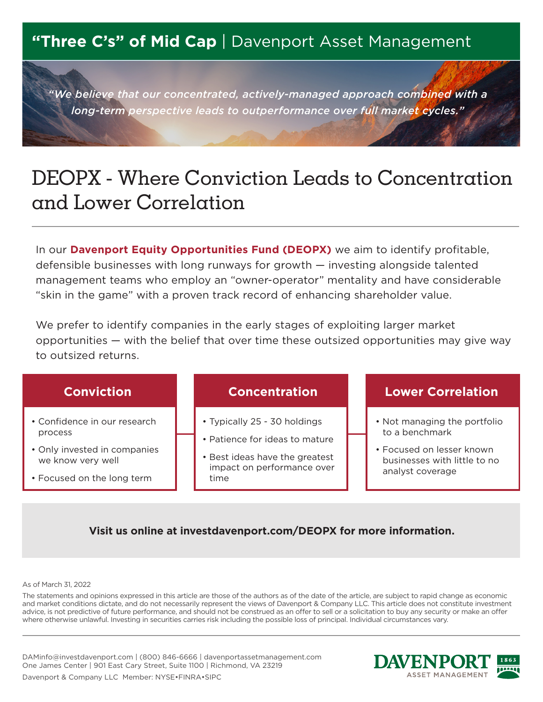## **"Three C's" of Mid Cap** | Davenport Asset Management

*"We believe that our concentrated, actively-managed approach combined with a long-term perspective leads to outperformance over full market cycles."*

# DEOPX - Where Conviction Leads to Concentration and Lower Correlation

In our **Davenport Equity Opportunities Fund (DEOPX)** we aim to identify profitable, defensible businesses with long runways for growth — investing alongside talented management teams who employ an "owner-operator" mentality and have considerable "skin in the game" with a proven track record of enhancing shareholder value.

We prefer to identify companies in the early stages of exploiting larger market opportunities — with the belief that over time these outsized opportunities may give way to outsized returns.



### **Visit us online at investdavenport.com/DEOPX for more information.**

#### As of March 31, 2022

The statements and opinions expressed in this article are those of the authors as of the date of the article, are subject to rapid change as economic and market conditions dictate, and do not necessarily represent the views of Davenport & Company LLC. This article does not constitute investment advice, is not predictive of future performance, and should not be construed as an offer to sell or a solicitation to buy any security or make an offer where otherwise unlawful. Investing in securities carries risk including the possible loss of principal. Individual circumstances vary.

DAMinfo@investdavenport.com | (800) 846-6666 | davenportassetmanagement.com One James Center | 901 East Cary Street, Suite 1100 | Richmond, VA 23219